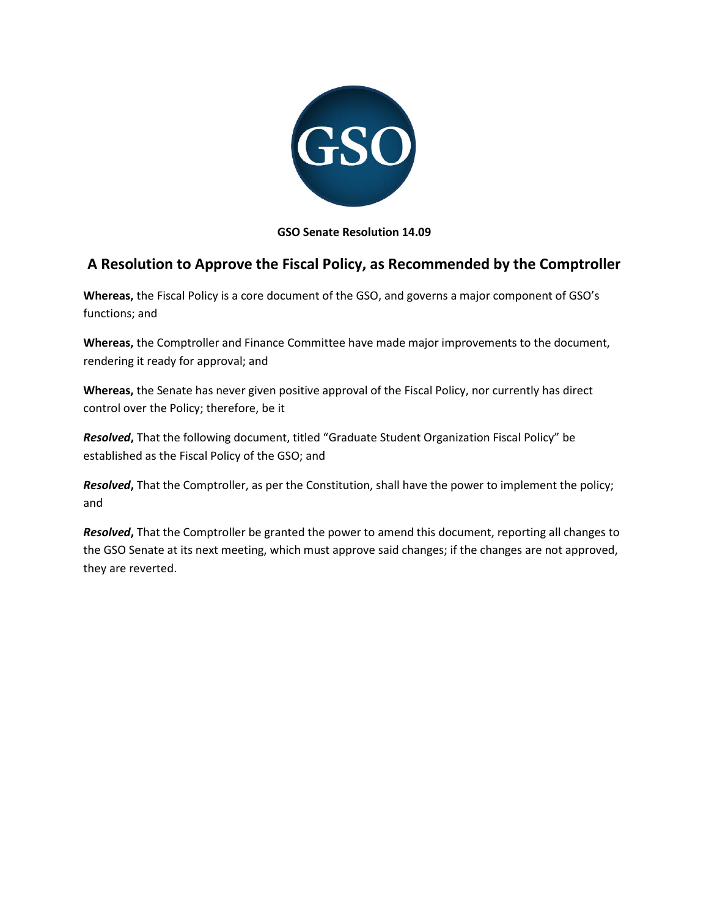

# **GSO Senate Resolution 14.09**

# **A Resolution to Approve the Fiscal Policy, as Recommended by the Comptroller**

**Whereas,** the Fiscal Policy is a core document of the GSO, and governs a major component of GSO's functions; and

**Whereas,** the Comptroller and Finance Committee have made major improvements to the document, rendering it ready for approval; and

**Whereas,** the Senate has never given positive approval of the Fiscal Policy, nor currently has direct control over the Policy; therefore, be it

*Resolved***,** That the following document, titled "Graduate Student Organization Fiscal Policy" be established as the Fiscal Policy of the GSO; and

*Resolved***,** That the Comptroller, as per the Constitution, shall have the power to implement the policy; and

*Resolved***,** That the Comptroller be granted the power to amend this document, reporting all changes to the GSO Senate at its next meeting, which must approve said changes; if the changes are not approved, they are reverted.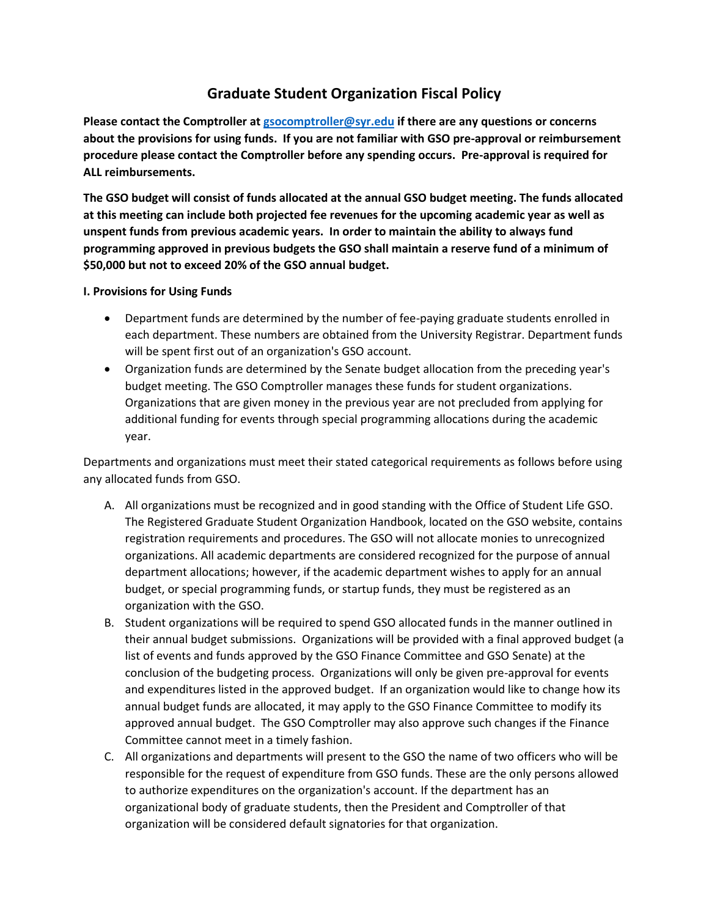# **Graduate Student Organization Fiscal Policy**

**Please contact the Comptroller a[t gsocomptroller@syr.edu](mailto:gsocomptroller@syr.edu) if there are any questions or concerns about the provisions for using funds. If you are not familiar with GSO pre-approval or reimbursement procedure please contact the Comptroller before any spending occurs. Pre-approval is required for ALL reimbursements.**

**The GSO budget will consist of funds allocated at the annual GSO budget meeting. The funds allocated at this meeting can include both projected fee revenues for the upcoming academic year as well as unspent funds from previous academic years. In order to maintain the ability to always fund programming approved in previous budgets the GSO shall maintain a reserve fund of a minimum of \$50,000 but not to exceed 20% of the GSO annual budget.**

**I. Provisions for Using Funds**

- Department funds are determined by the number of fee-paying graduate students enrolled in each department. These numbers are obtained from the University Registrar. Department funds will be spent first out of an organization's GSO account.
- Organization funds are determined by the Senate budget allocation from the preceding year's budget meeting. The GSO Comptroller manages these funds for student organizations. Organizations that are given money in the previous year are not precluded from applying for additional funding for events through special programming allocations during the academic year.

Departments and organizations must meet their stated categorical requirements as follows before using any allocated funds from GSO.

- A. All organizations must be recognized and in good standing with the Office of Student Life GSO. The Registered Graduate Student Organization Handbook, located on the GSO website, contains registration requirements and procedures. The GSO will not allocate monies to unrecognized organizations. All academic departments are considered recognized for the purpose of annual department allocations; however, if the academic department wishes to apply for an annual budget, or special programming funds, or startup funds, they must be registered as an organization with the GSO.
- B. Student organizations will be required to spend GSO allocated funds in the manner outlined in their annual budget submissions. Organizations will be provided with a final approved budget (a list of events and funds approved by the GSO Finance Committee and GSO Senate) at the conclusion of the budgeting process. Organizations will only be given pre-approval for events and expenditures listed in the approved budget. If an organization would like to change how its annual budget funds are allocated, it may apply to the GSO Finance Committee to modify its approved annual budget. The GSO Comptroller may also approve such changes if the Finance Committee cannot meet in a timely fashion.
- C. All organizations and departments will present to the GSO the name of two officers who will be responsible for the request of expenditure from GSO funds. These are the only persons allowed to authorize expenditures on the organization's account. If the department has an organizational body of graduate students, then the President and Comptroller of that organization will be considered default signatories for that organization.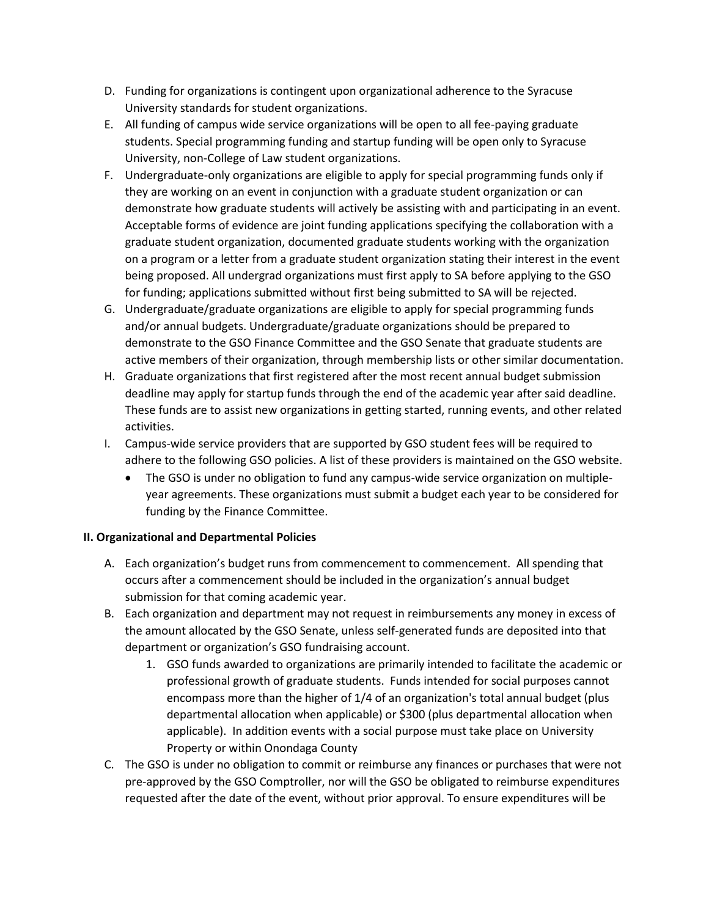- D. Funding for organizations is contingent upon organizational adherence to the Syracuse University standards for student organizations.
- E. All funding of campus wide service organizations will be open to all fee-paying graduate students. Special programming funding and startup funding will be open only to Syracuse University, non-College of Law student organizations.
- F. Undergraduate-only organizations are eligible to apply for special programming funds only if they are working on an event in conjunction with a graduate student organization or can demonstrate how graduate students will actively be assisting with and participating in an event. Acceptable forms of evidence are joint funding applications specifying the collaboration with a graduate student organization, documented graduate students working with the organization on a program or a letter from a graduate student organization stating their interest in the event being proposed. All undergrad organizations must first apply to SA before applying to the GSO for funding; applications submitted without first being submitted to SA will be rejected.
- G. Undergraduate/graduate organizations are eligible to apply for special programming funds and/or annual budgets. Undergraduate/graduate organizations should be prepared to demonstrate to the GSO Finance Committee and the GSO Senate that graduate students are active members of their organization, through membership lists or other similar documentation.
- H. Graduate organizations that first registered after the most recent annual budget submission deadline may apply for startup funds through the end of the academic year after said deadline. These funds are to assist new organizations in getting started, running events, and other related activities.
- I. Campus-wide service providers that are supported by GSO student fees will be required to adhere to the following GSO policies. A list of these providers is maintained on the GSO website.
	- The GSO is under no obligation to fund any campus-wide service organization on multipleyear agreements. These organizations must submit a budget each year to be considered for funding by the Finance Committee.

# **II. Organizational and Departmental Policies**

- A. Each organization's budget runs from commencement to commencement. All spending that occurs after a commencement should be included in the organization's annual budget submission for that coming academic year.
- B. Each organization and department may not request in reimbursements any money in excess of the amount allocated by the GSO Senate, unless self-generated funds are deposited into that department or organization's GSO fundraising account.
	- 1. GSO funds awarded to organizations are primarily intended to facilitate the academic or professional growth of graduate students. Funds intended for social purposes cannot encompass more than the higher of 1/4 of an organization's total annual budget (plus departmental allocation when applicable) or \$300 (plus departmental allocation when applicable). In addition events with a social purpose must take place on University Property or within Onondaga County
- C. The GSO is under no obligation to commit or reimburse any finances or purchases that were not pre-approved by the GSO Comptroller, nor will the GSO be obligated to reimburse expenditures requested after the date of the event, without prior approval. To ensure expenditures will be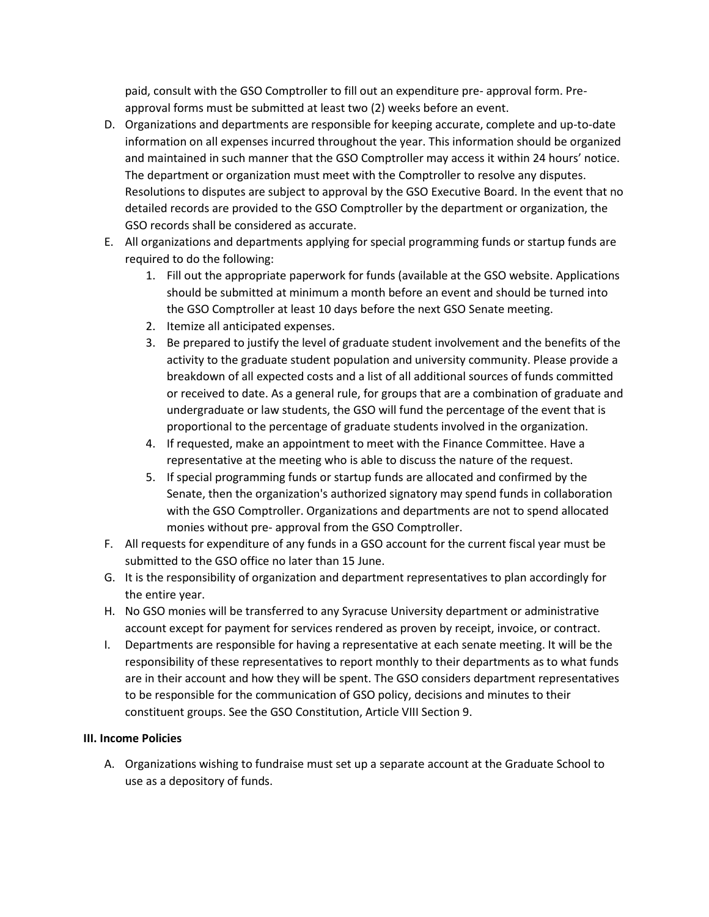paid, consult with the GSO Comptroller to fill out an expenditure pre- approval form. Preapproval forms must be submitted at least two (2) weeks before an event.

- D. Organizations and departments are responsible for keeping accurate, complete and up-to-date information on all expenses incurred throughout the year. This information should be organized and maintained in such manner that the GSO Comptroller may access it within 24 hours' notice. The department or organization must meet with the Comptroller to resolve any disputes. Resolutions to disputes are subject to approval by the GSO Executive Board. In the event that no detailed records are provided to the GSO Comptroller by the department or organization, the GSO records shall be considered as accurate.
- E. All organizations and departments applying for special programming funds or startup funds are required to do the following:
	- 1. Fill out the appropriate paperwork for funds (available at the GSO website. Applications should be submitted at minimum a month before an event and should be turned into the GSO Comptroller at least 10 days before the next GSO Senate meeting.
	- 2. Itemize all anticipated expenses.
	- 3. Be prepared to justify the level of graduate student involvement and the benefits of the activity to the graduate student population and university community. Please provide a breakdown of all expected costs and a list of all additional sources of funds committed or received to date. As a general rule, for groups that are a combination of graduate and undergraduate or law students, the GSO will fund the percentage of the event that is proportional to the percentage of graduate students involved in the organization.
	- 4. If requested, make an appointment to meet with the Finance Committee. Have a representative at the meeting who is able to discuss the nature of the request.
	- 5. If special programming funds or startup funds are allocated and confirmed by the Senate, then the organization's authorized signatory may spend funds in collaboration with the GSO Comptroller. Organizations and departments are not to spend allocated monies without pre- approval from the GSO Comptroller.
- F. All requests for expenditure of any funds in a GSO account for the current fiscal year must be submitted to the GSO office no later than 15 June.
- G. It is the responsibility of organization and department representatives to plan accordingly for the entire year.
- H. No GSO monies will be transferred to any Syracuse University department or administrative account except for payment for services rendered as proven by receipt, invoice, or contract.
- I. Departments are responsible for having a representative at each senate meeting. It will be the responsibility of these representatives to report monthly to their departments as to what funds are in their account and how they will be spent. The GSO considers department representatives to be responsible for the communication of GSO policy, decisions and minutes to their constituent groups. See the GSO Constitution, Article VIII Section 9.

# **III. Income Policies**

A. Organizations wishing to fundraise must set up a separate account at the Graduate School to use as a depository of funds.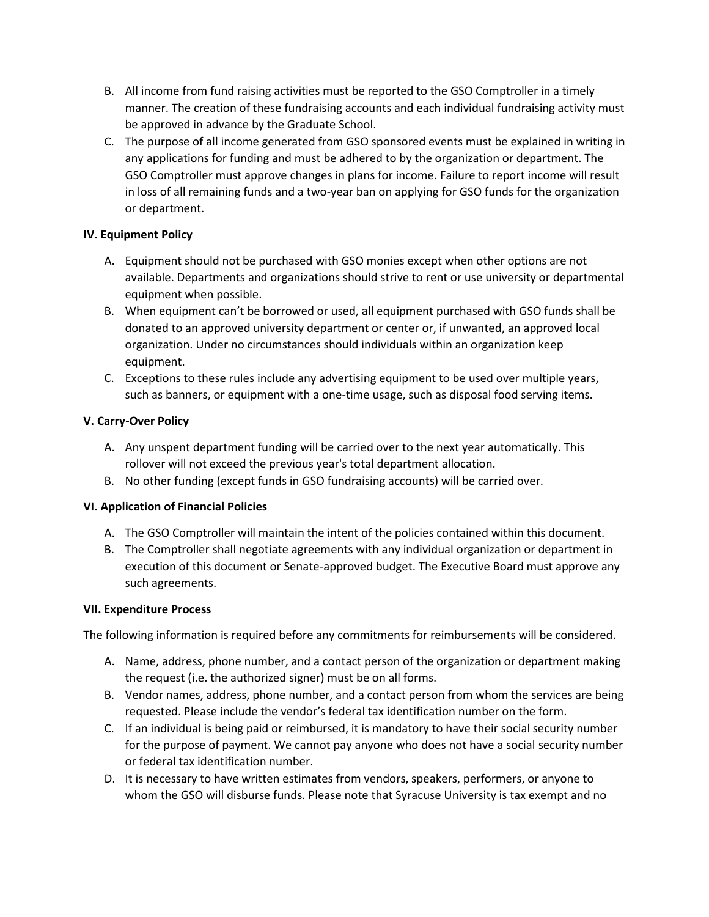- B. All income from fund raising activities must be reported to the GSO Comptroller in a timely manner. The creation of these fundraising accounts and each individual fundraising activity must be approved in advance by the Graduate School.
- C. The purpose of all income generated from GSO sponsored events must be explained in writing in any applications for funding and must be adhered to by the organization or department. The GSO Comptroller must approve changes in plans for income. Failure to report income will result in loss of all remaining funds and a two-year ban on applying for GSO funds for the organization or department.

# **IV. Equipment Policy**

- A. Equipment should not be purchased with GSO monies except when other options are not available. Departments and organizations should strive to rent or use university or departmental equipment when possible.
- B. When equipment can't be borrowed or used, all equipment purchased with GSO funds shall be donated to an approved university department or center or, if unwanted, an approved local organization. Under no circumstances should individuals within an organization keep equipment.
- C. Exceptions to these rules include any advertising equipment to be used over multiple years, such as banners, or equipment with a one-time usage, such as disposal food serving items.

# **V. Carry-Over Policy**

- A. Any unspent department funding will be carried over to the next year automatically. This rollover will not exceed the previous year's total department allocation.
- B. No other funding (except funds in GSO fundraising accounts) will be carried over.

# **VI. Application of Financial Policies**

- A. The GSO Comptroller will maintain the intent of the policies contained within this document.
- B. The Comptroller shall negotiate agreements with any individual organization or department in execution of this document or Senate-approved budget. The Executive Board must approve any such agreements.

# **VII. Expenditure Process**

The following information is required before any commitments for reimbursements will be considered.

- A. Name, address, phone number, and a contact person of the organization or department making the request (i.e. the authorized signer) must be on all forms.
- B. Vendor names, address, phone number, and a contact person from whom the services are being requested. Please include the vendor's federal tax identification number on the form.
- C. If an individual is being paid or reimbursed, it is mandatory to have their social security number for the purpose of payment. We cannot pay anyone who does not have a social security number or federal tax identification number.
- D. It is necessary to have written estimates from vendors, speakers, performers, or anyone to whom the GSO will disburse funds. Please note that Syracuse University is tax exempt and no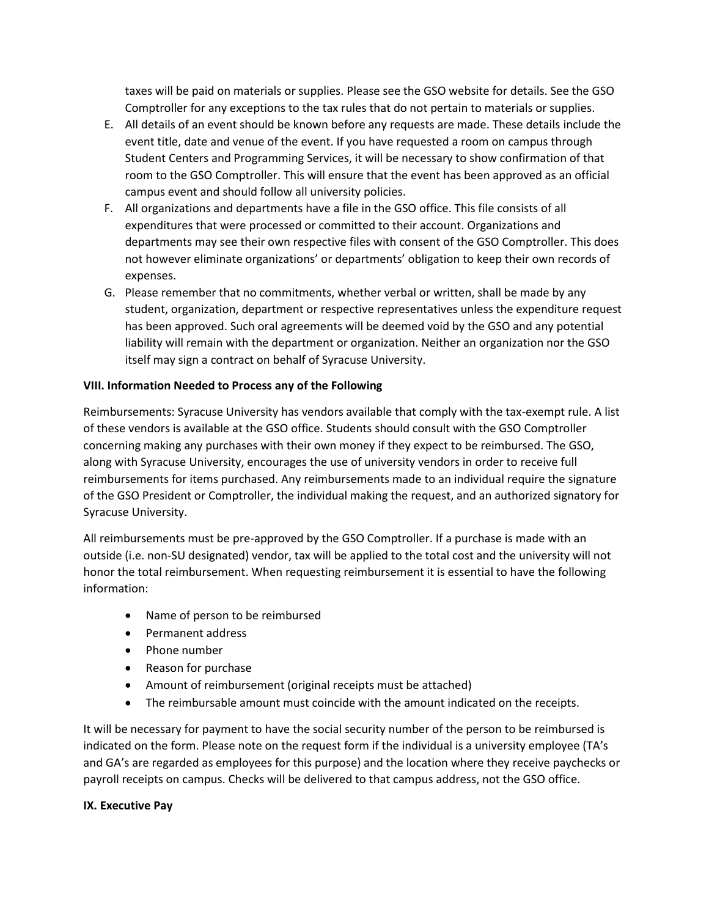taxes will be paid on materials or supplies. Please see the GSO website for details. See the GSO Comptroller for any exceptions to the tax rules that do not pertain to materials or supplies.

- E. All details of an event should be known before any requests are made. These details include the event title, date and venue of the event. If you have requested a room on campus through Student Centers and Programming Services, it will be necessary to show confirmation of that room to the GSO Comptroller. This will ensure that the event has been approved as an official campus event and should follow all university policies.
- F. All organizations and departments have a file in the GSO office. This file consists of all expenditures that were processed or committed to their account. Organizations and departments may see their own respective files with consent of the GSO Comptroller. This does not however eliminate organizations' or departments' obligation to keep their own records of expenses.
- G. Please remember that no commitments, whether verbal or written, shall be made by any student, organization, department or respective representatives unless the expenditure request has been approved. Such oral agreements will be deemed void by the GSO and any potential liability will remain with the department or organization. Neither an organization nor the GSO itself may sign a contract on behalf of Syracuse University.

# **VIII. Information Needed to Process any of the Following**

Reimbursements: Syracuse University has vendors available that comply with the tax-exempt rule. A list of these vendors is available at the GSO office. Students should consult with the GSO Comptroller concerning making any purchases with their own money if they expect to be reimbursed. The GSO, along with Syracuse University, encourages the use of university vendors in order to receive full reimbursements for items purchased. Any reimbursements made to an individual require the signature of the GSO President or Comptroller, the individual making the request, and an authorized signatory for Syracuse University.

All reimbursements must be pre-approved by the GSO Comptroller. If a purchase is made with an outside (i.e. non-SU designated) vendor, tax will be applied to the total cost and the university will not honor the total reimbursement. When requesting reimbursement it is essential to have the following information:

- Name of person to be reimbursed
- Permanent address
- Phone number
- Reason for purchase
- Amount of reimbursement (original receipts must be attached)
- The reimbursable amount must coincide with the amount indicated on the receipts.

It will be necessary for payment to have the social security number of the person to be reimbursed is indicated on the form. Please note on the request form if the individual is a university employee (TA's and GA's are regarded as employees for this purpose) and the location where they receive paychecks or payroll receipts on campus. Checks will be delivered to that campus address, not the GSO office.

## **IX. Executive Pay**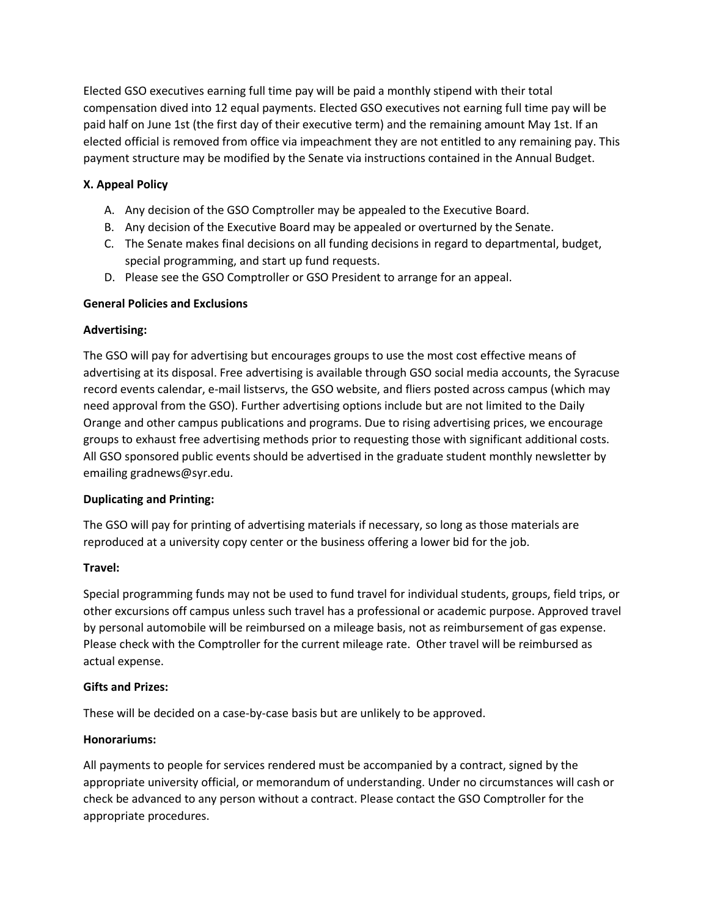Elected GSO executives earning full time pay will be paid a monthly stipend with their total compensation dived into 12 equal payments. Elected GSO executives not earning full time pay will be paid half on June 1st (the first day of their executive term) and the remaining amount May 1st. If an elected official is removed from office via impeachment they are not entitled to any remaining pay. This payment structure may be modified by the Senate via instructions contained in the Annual Budget.

# **X. Appeal Policy**

- A. Any decision of the GSO Comptroller may be appealed to the Executive Board.
- B. Any decision of the Executive Board may be appealed or overturned by the Senate.
- C. The Senate makes final decisions on all funding decisions in regard to departmental, budget, special programming, and start up fund requests.
- D. Please see the GSO Comptroller or GSO President to arrange for an appeal.

## **General Policies and Exclusions**

## **Advertising:**

The GSO will pay for advertising but encourages groups to use the most cost effective means of advertising at its disposal. Free advertising is available through GSO social media accounts, the Syracuse record events calendar, e-mail listservs, the GSO website, and fliers posted across campus (which may need approval from the GSO). Further advertising options include but are not limited to the Daily Orange and other campus publications and programs. Due to rising advertising prices, we encourage groups to exhaust free advertising methods prior to requesting those with significant additional costs. All GSO sponsored public events should be advertised in the graduate student monthly newsletter by emailing gradnews@syr.edu.

## **Duplicating and Printing:**

The GSO will pay for printing of advertising materials if necessary, so long as those materials are reproduced at a university copy center or the business offering a lower bid for the job.

## **Travel:**

Special programming funds may not be used to fund travel for individual students, groups, field trips, or other excursions off campus unless such travel has a professional or academic purpose. Approved travel by personal automobile will be reimbursed on a mileage basis, not as reimbursement of gas expense. Please check with the Comptroller for the current mileage rate. Other travel will be reimbursed as actual expense.

## **Gifts and Prizes:**

These will be decided on a case-by-case basis but are unlikely to be approved.

## **Honorariums:**

All payments to people for services rendered must be accompanied by a contract, signed by the appropriate university official, or memorandum of understanding. Under no circumstances will cash or check be advanced to any person without a contract. Please contact the GSO Comptroller for the appropriate procedures.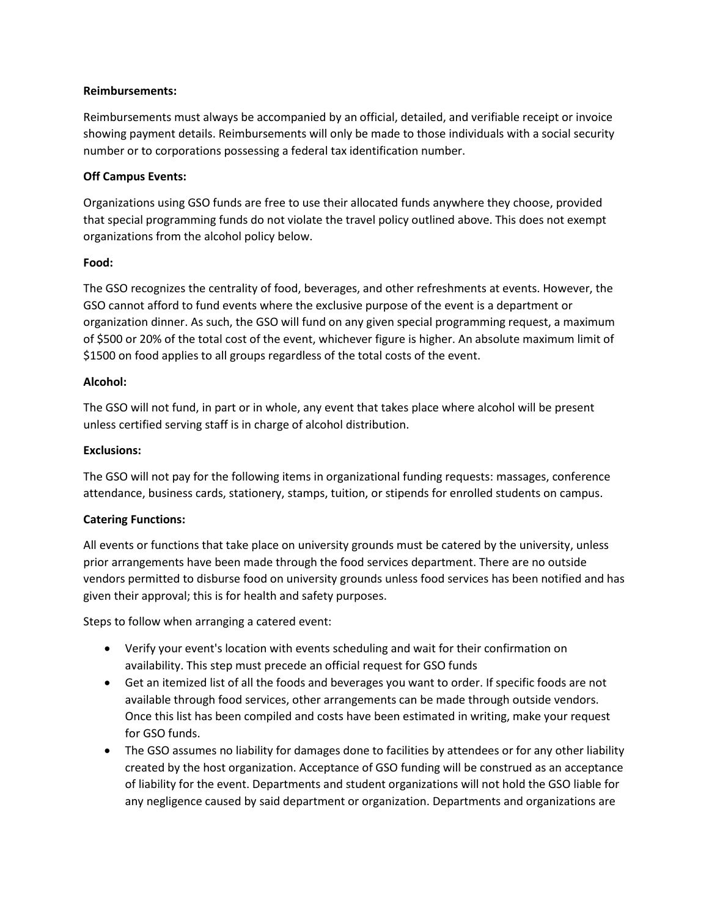#### **Reimbursements:**

Reimbursements must always be accompanied by an official, detailed, and verifiable receipt or invoice showing payment details. Reimbursements will only be made to those individuals with a social security number or to corporations possessing a federal tax identification number.

## **Off Campus Events:**

Organizations using GSO funds are free to use their allocated funds anywhere they choose, provided that special programming funds do not violate the travel policy outlined above. This does not exempt organizations from the alcohol policy below.

#### **Food:**

The GSO recognizes the centrality of food, beverages, and other refreshments at events. However, the GSO cannot afford to fund events where the exclusive purpose of the event is a department or organization dinner. As such, the GSO will fund on any given special programming request, a maximum of \$500 or 20% of the total cost of the event, whichever figure is higher. An absolute maximum limit of \$1500 on food applies to all groups regardless of the total costs of the event.

#### **Alcohol:**

The GSO will not fund, in part or in whole, any event that takes place where alcohol will be present unless certified serving staff is in charge of alcohol distribution.

#### **Exclusions:**

The GSO will not pay for the following items in organizational funding requests: massages, conference attendance, business cards, stationery, stamps, tuition, or stipends for enrolled students on campus.

## **Catering Functions:**

All events or functions that take place on university grounds must be catered by the university, unless prior arrangements have been made through the food services department. There are no outside vendors permitted to disburse food on university grounds unless food services has been notified and has given their approval; this is for health and safety purposes.

Steps to follow when arranging a catered event:

- Verify your event's location with events scheduling and wait for their confirmation on availability. This step must precede an official request for GSO funds
- Get an itemized list of all the foods and beverages you want to order. If specific foods are not available through food services, other arrangements can be made through outside vendors. Once this list has been compiled and costs have been estimated in writing, make your request for GSO funds.
- The GSO assumes no liability for damages done to facilities by attendees or for any other liability created by the host organization. Acceptance of GSO funding will be construed as an acceptance of liability for the event. Departments and student organizations will not hold the GSO liable for any negligence caused by said department or organization. Departments and organizations are